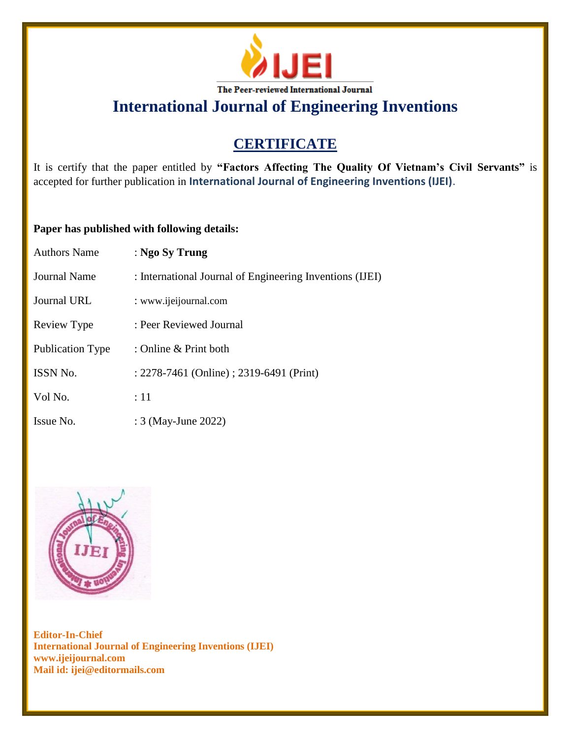

**International Journal of Engineering Inventions**

# **CERTIFICATE**

It is certify that the paper entitled by **"Factors Affecting The Quality Of Vietnam's Civil Servants"** is accepted for further publication in **International Journal of Engineering Inventions (IJEI)**.

### **Paper has published with following details:**

| <b>Authors Name</b> | : Ngo Sy Trung                                           |
|---------------------|----------------------------------------------------------|
| <b>Journal Name</b> | : International Journal of Engineering Inventions (IJEI) |
| Journal URL         | : www.ijeijournal.com                                    |
| Review Type         | : Peer Reviewed Journal                                  |
| Publication Type    | : Online & Print both                                    |
| ISSN No.            | : 2278-7461 (Online) ; 2319-6491 (Print)                 |
| Vol No.             | :11                                                      |
| Issue No.           | : 3 (May-June 2022)                                      |



**Editor-In-Chief International Journal of Engineering Inventions (IJEI) www.ijeijournal.com Mail id: ijei@editormails.com**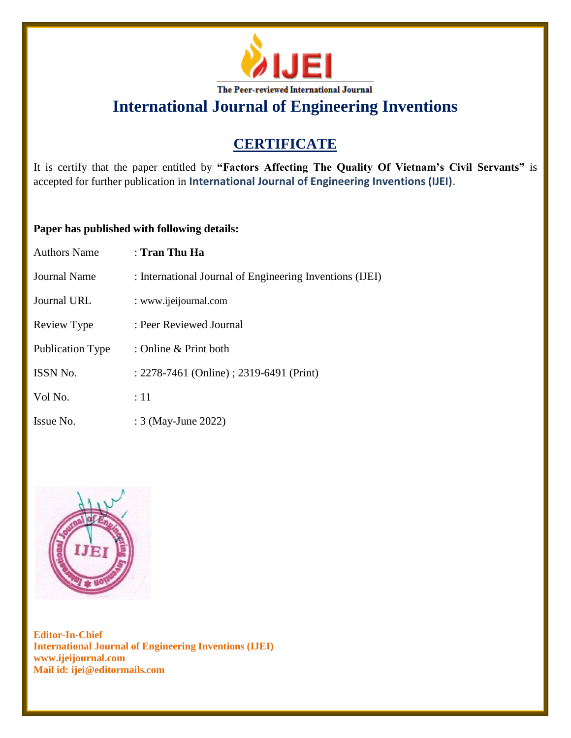

**International Journal of Engineering Inventions**

# **CERTIFICATE**

It is certify that the paper entitled by **"Factors Affecting The Quality Of Vietnam's Civil Servants"** is accepted for further publication in **International Journal of Engineering Inventions (IJEI)**.

### **Paper has published with following details:**

| <b>Authors Name</b> | : Tran Thu Ha                                            |
|---------------------|----------------------------------------------------------|
| Journal Name        | : International Journal of Engineering Inventions (IJEI) |
| <b>Journal URL</b>  | : www.ijeijournal.com                                    |
| Review Type         | : Peer Reviewed Journal                                  |
| Publication Type    | : Online & Print both                                    |
| <b>ISSN No.</b>     | : 2278-7461 (Online) ; 2319-6491 (Print)                 |
| Vol No.             | :11                                                      |
| Issue No.           | : 3 (May-June 2022)                                      |



**Editor-In-Chief International Journal of Engineering Inventions (IJEI) www.ijeijournal.com Mail id: ijei@editormails.com**